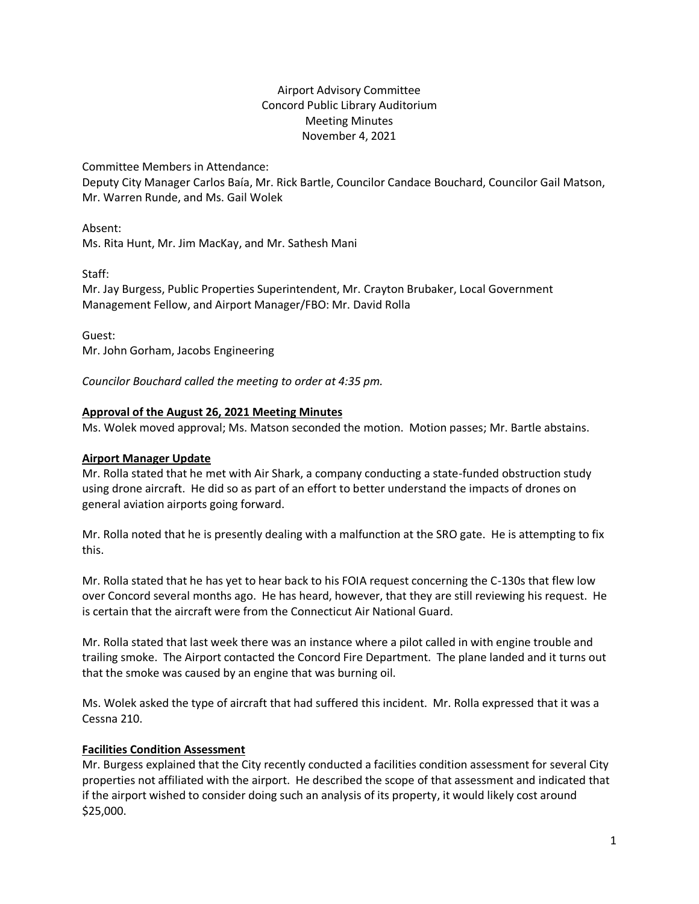# Airport Advisory Committee Concord Public Library Auditorium Meeting Minutes November 4, 2021

Committee Members in Attendance:

Deputy City Manager Carlos Baía, Mr. Rick Bartle, Councilor Candace Bouchard, Councilor Gail Matson, Mr. Warren Runde, and Ms. Gail Wolek

Absent:

Ms. Rita Hunt, Mr. Jim MacKay, and Mr. Sathesh Mani

Staff:

Mr. Jay Burgess, Public Properties Superintendent, Mr. Crayton Brubaker, Local Government Management Fellow, and Airport Manager/FBO: Mr. David Rolla

Guest: Mr. John Gorham, Jacobs Engineering

*Councilor Bouchard called the meeting to order at 4:35 pm.*

## **Approval of the August 26, 2021 Meeting Minutes**

Ms. Wolek moved approval; Ms. Matson seconded the motion. Motion passes; Mr. Bartle abstains.

## **Airport Manager Update**

Mr. Rolla stated that he met with Air Shark, a company conducting a state-funded obstruction study using drone aircraft. He did so as part of an effort to better understand the impacts of drones on general aviation airports going forward.

Mr. Rolla noted that he is presently dealing with a malfunction at the SRO gate. He is attempting to fix this.

Mr. Rolla stated that he has yet to hear back to his FOIA request concerning the C-130s that flew low over Concord several months ago. He has heard, however, that they are still reviewing his request. He is certain that the aircraft were from the Connecticut Air National Guard.

Mr. Rolla stated that last week there was an instance where a pilot called in with engine trouble and trailing smoke. The Airport contacted the Concord Fire Department. The plane landed and it turns out that the smoke was caused by an engine that was burning oil.

Ms. Wolek asked the type of aircraft that had suffered this incident. Mr. Rolla expressed that it was a Cessna 210.

### **Facilities Condition Assessment**

Mr. Burgess explained that the City recently conducted a facilities condition assessment for several City properties not affiliated with the airport. He described the scope of that assessment and indicated that if the airport wished to consider doing such an analysis of its property, it would likely cost around \$25,000.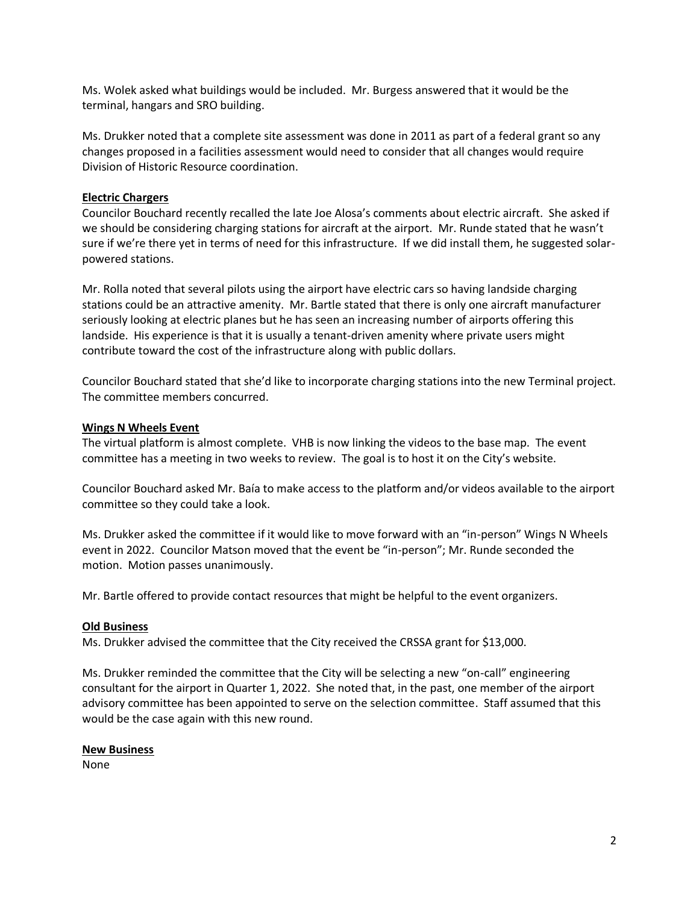Ms. Wolek asked what buildings would be included. Mr. Burgess answered that it would be the terminal, hangars and SRO building.

Ms. Drukker noted that a complete site assessment was done in 2011 as part of a federal grant so any changes proposed in a facilities assessment would need to consider that all changes would require Division of Historic Resource coordination.

### **Electric Chargers**

Councilor Bouchard recently recalled the late Joe Alosa's comments about electric aircraft. She asked if we should be considering charging stations for aircraft at the airport. Mr. Runde stated that he wasn't sure if we're there yet in terms of need for this infrastructure. If we did install them, he suggested solarpowered stations.

Mr. Rolla noted that several pilots using the airport have electric cars so having landside charging stations could be an attractive amenity. Mr. Bartle stated that there is only one aircraft manufacturer seriously looking at electric planes but he has seen an increasing number of airports offering this landside. His experience is that it is usually a tenant-driven amenity where private users might contribute toward the cost of the infrastructure along with public dollars.

Councilor Bouchard stated that she'd like to incorporate charging stations into the new Terminal project. The committee members concurred.

#### **Wings N Wheels Event**

The virtual platform is almost complete. VHB is now linking the videos to the base map. The event committee has a meeting in two weeks to review. The goal is to host it on the City's website.

Councilor Bouchard asked Mr. Baía to make access to the platform and/or videos available to the airport committee so they could take a look.

Ms. Drukker asked the committee if it would like to move forward with an "in-person" Wings N Wheels event in 2022. Councilor Matson moved that the event be "in-person"; Mr. Runde seconded the motion. Motion passes unanimously.

Mr. Bartle offered to provide contact resources that might be helpful to the event organizers.

#### **Old Business**

Ms. Drukker advised the committee that the City received the CRSSA grant for \$13,000.

Ms. Drukker reminded the committee that the City will be selecting a new "on-call" engineering consultant for the airport in Quarter 1, 2022. She noted that, in the past, one member of the airport advisory committee has been appointed to serve on the selection committee. Staff assumed that this would be the case again with this new round.

#### **New Business**

None